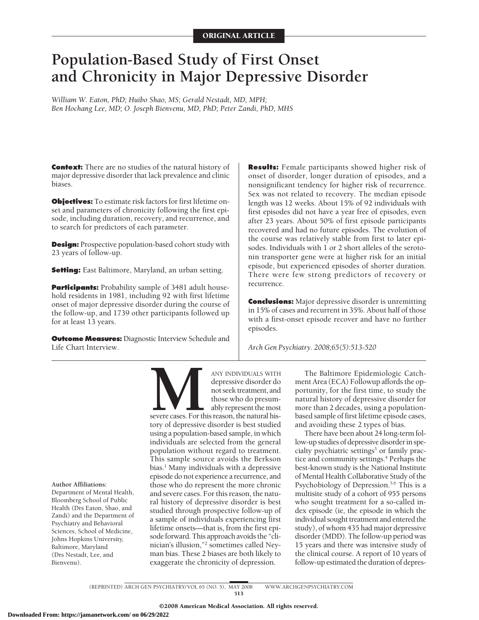# **Population-Based Study of First Onset and Chronicity in Major Depressive Disorder**

*William W. Eaton, PhD; Huibo Shao, MS; Gerald Nestadt, MD, MPH; Ben Hochang Lee, MD; O. Joseph Bienvenu, MD, PhD; Peter Zandi, PhD, MHS*

**Context:** There are no studies of the natural history of major depressive disorder that lack prevalence and clinic biases.

**Objectives:** To estimate risk factors for first lifetime onset and parameters of chronicity following the first episode, including duration, recovery, and recurrence, and to search for predictors of each parameter.

**Design:** Prospective population-based cohort study with 23 years of follow-up.

**Setting:** East Baltimore, Maryland, an urban setting.

**Participants:** Probability sample of 3481 adult household residents in 1981, including 92 with first lifetime onset of major depressive disorder during the course of the follow-up, and 1739 other participants followed up for at least 13 years.

**Outcome Measures:** Diagnostic Interview Schedule and Life Chart Interview.

**Results:** Female participants showed higher risk of onset of disorder, longer duration of episodes, and a nonsignificant tendency for higher risk of recurrence. Sex was not related to recovery. The median episode length was 12 weeks. About 15% of 92 individuals with first episodes did not have a year free of episodes, even after 23 years. About 50% of first episode participants recovered and had no future episodes. The evolution of the course was relatively stable from first to later episodes. Individuals with 1 or 2 short alleles of the serotonin transporter gene were at higher risk for an initial episode, but experienced episodes of shorter duration. There were few strong predictors of recovery or recurrence.

**Conclusions:** Major depressive disorder is unremitting in 15% of cases and recurrent in 35%. About half of those with a first-onset episode recover and have no further episodes.

*Arch Gen Psychiatry. 2008;65(5):513-520*

**Author Affiliations:**

Department of Mental Health, Bloomberg School of Public Health (Drs Eaton, Shao, and Zandi) and the Department of Psychiatry and Behavioral Sciences, School of Medicine, Johns Hopkins University, Baltimore, Maryland (Drs Nestadt, Lee, and Bienvenu).

ANY INDIVIDUALS WITH<br>depressive disorder do<br>not seek treatment, and<br>those who do presum-<br>ably represent the most<br>severe cases. For this reason, the natural his-<br>tory of depressive disorder is best studied depressive disorder do not seek treatment, and those who do presumably represent the most severe cases. For this reason, the natural history of depressive disorder is best studied using a population-based sample, in which individuals are selected from the general population without regard to treatment. This sample source avoids the Berkson bias.<sup>1</sup> Many individuals with a depressive episode do not experience a recurrence, and those who do represent the more chronic and severe cases. For this reason, the natural history of depressive disorder is best studied through prospective follow-up of a sample of individuals experiencing first lifetime onsets—that is, from the first episode forward. This approach avoids the "clinician's illusion,"2 sometimes called Neyman bias. These 2 biases are both likely to

The Baltimore Epidemiologic Catchment Area (ECA) Followup affords the opportunity, for the first time, to study the natural history of depressive disorder for more than 2 decades, using a populationbased sample of first lifetime episode cases, and avoiding these 2 types of bias.

There have been about 24 long-term follow-up studies of depressive disorder in specialty psychiatric settings<sup>3</sup> or family practice and community settings.<sup>4</sup> Perhaps the best-known study is the National Institute of Mental Health Collaborative Study of the Psychobiology of Depression.<sup>5,6</sup> This is a multisite study of a cohort of 955 persons who sought treatment for a so-called index episode (ie, the episode in which the individual sought treatment and entered the study), of whom 435 had major depressive disorder (MDD). The follow-up period was 15 years and there was intensive study of the clinical course. A report of 10 years of follow-up estimated the duration of depres-

(REPRINTED) ARCH GEN PSYCHIATRY/ VOL 65 (NO. 5), MAY 2008 WWW.ARCHGENPSYCHIATRY.COM 513

exaggerate the chronicity of depression.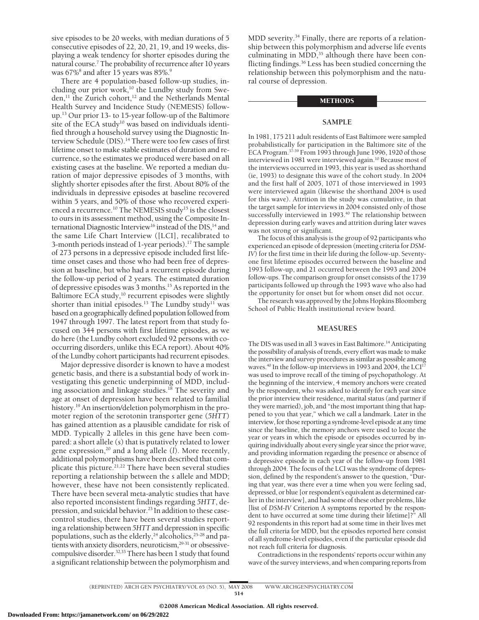sive episodes to be 20 weeks, with median durations of 5 consecutive episodes of 22, 20, 21, 19, and 19 weeks, displaying a weak tendency for shorter episodes during the natural course.7 The probability of recurrence after 10 years was 67%<sup>8</sup> and after 15 years was 85%.<sup>9</sup>

There are 4 population-based follow-up studies, including our prior work,<sup>10</sup> the Lundby study from Sweden, $^{11}$  the Zurich cohort, $^{12}$  and the Netherlands Mental Health Survey and Incidence Study (NEMESIS) followup.13 Our prior 13- to 15-year follow-up of the Baltimore site of the ECA study<sup>10</sup> was based on individuals identified through a household survey using the Diagnostic Interview Schedule (DIS).<sup>14</sup> There were too few cases of first lifetime onset to make stable estimates of duration and recurrence, so the estimates we produced were based on all existing cases at the baseline. We reported a median duration of major depressive episodes of 3 months, with slightly shorter episodes after the first. About 80% of the individuals in depressive episodes at baseline recovered within 5 years, and 50% of those who recovered experienced a recurrence.<sup>10</sup> The NEMESIS study<sup>15</sup> is the closest to ours in its assessment method, using the Composite International Diagnostic Interview<sup>16</sup> instead of the DIS,<sup>14</sup> and the same Life Chart Interview ([LCI], recalibrated to 3-month periods instead of 1-year periods).<sup>17</sup> The sample of 273 persons in a depressive episode included first lifetime onset cases and those who had been free of depression at baseline, but who had a recurrent episode during the follow-up period of 2 years. The estimated duration of depressive episodes was 3 months.15 As reported in the Baltimore ECA study,<sup>10</sup> recurrent episodes were slightly shorter than initial episodes.<sup>13</sup> The Lundby study<sup>11</sup> was based on a geographically defined population followed from 1947 through 1997. The latest report from that study focused on 344 persons with first lifetime episodes, as we do here (the Lundby cohort excluded 92 persons with cooccurring disorders, unlike this ECA report). About 40% of the Lundby cohort participants had recurrent episodes.

Major depressive disorder is known to have a modest genetic basis, and there is a substantial body of work investigating this genetic underpinning of MDD, including association and linkage studies.<sup>18</sup> The severity and age at onset of depression have been related to familial history.<sup>19</sup> An insertion/deletion polymorphism in the promoter region of the serotonin transporter gene (*5HTT*) has gained attention as a plausible candidate for risk of MDD. Typically 2 alleles in this gene have been compared: a short allele (*s*) that is putatively related to lower gene expression,<sup>20</sup> and a long allele (*l*). More recently, additional polymorphisms have been described that complicate this picture.<sup>21,22</sup> There have been several studies reporting a relationship between the *s* allele and MDD; however, these have not been consistently replicated. There have been several meta-analytic studies that have also reported inconsistent findings regarding *5HTT*, depression, and suicidal behavior.<sup>23</sup> In addition to these casecontrol studies, there have been several studies reporting a relationship between *5HTT* and depression in specific populations, such as the elderly,<sup>24</sup> alcoholics,<sup>25-28</sup> and patients with anxiety disorders, neuroticism,29-31 or obsessivecompulsive disorder.<sup>32,33</sup> There has been 1 study that found a significant relationship between the polymorphism and

MDD severity.<sup>34</sup> Finally, there are reports of a relationship between this polymorphism and adverse life events culminating in  $MDD<sub>1</sub><sup>35</sup>$  although there have been conflicting findings.36 Less has been studied concerning the relationship between this polymorphism and the natural course of depression.

## METHODS

## **SAMPLE**

In 1981, 175 211 adult residents of East Baltimore were sampled probabilistically for participation in the Baltimore site of the ECA Program. $37-39$  From 1993 through June 1996, 1920 of those interviewed in 1981 were interviewed again.10 Because most of the interviews occurred in 1993, this year is used as shorthand (ie, 1993) to designate this wave of the cohort study. In 2004 and the first half of 2005, 1071 of those interviewed in 1993 were interviewed again (likewise the shorthand 2004 is used for this wave). Attrition in the study was cumulative, in that the target sample for interviews in 2004 consisted only of those successfully interviewed in 1993.<sup>40</sup> The relationship between depression during early waves and attrition during later waves was not strong or significant.

The focus of this analysis is the group of 92 participants who experienced an episode of depression (meeting criteria for*DSM-IV*) for the first time in their life during the follow-up. Seventyone first lifetime episodes occurred between the baseline and 1993 follow-up, and 21 occurred between the 1993 and 2004 follow-ups. The comparison group for onset consists of the 1739 participants followed up through the 1993 wave who also had the opportunity for onset but for whom onset did not occur.

The research was approved by the Johns Hopkins Bloomberg School of Public Health institutional review board.

## **MEASURES**

The DIS was used in all 3 waves in East Baltimore.<sup>14</sup> Anticipating the possibility of analysis of trends, every effort was made to make the interview and survey procedures as similar as possible among waves.<sup>40</sup> In the follow-up interviews in 1993 and 2004, the LCI<sup>17</sup> was used to improve recall of the timing of psychopathology. At the beginning of the interview, 4 memory anchors were created by the respondent, who was asked to identify for each year since the prior interview their residence, marital status (and partner if they were married), job, and "the most important thing that happened to you that year," which we call a landmark. Later in the interview, for those reporting a syndrome-level episode at any time since the baseline, the memory anchors were used to locate the year or years in which the episode or episodes occurred by inquiring individually about every single year since the prior wave, and providing information regarding the presence or absence of a depressive episode in each year of the follow-up from 1981 through 2004. The focus of the LCI was the syndrome of depression, defined by the respondent's answer to the question, "During that year, was there ever a time when you were feeling sad, depressed, or blue [or respondent's equivalent as determined earlier in the interview], and had some of these other problems, like [list of *DSM-IV* Criterion A symptoms reported by the respondent to have occurred at some time during their lifetime]?" All 92 respondents in this report had at some time in their lives met the full criteria for MDD, but the episodes reported here consist of all syndrome-level episodes, even if the particular episode did not reach full criteria for diagnosis.

Contradictions in the respondents' reports occur within any wave of the survey interviews, and when comparing reports from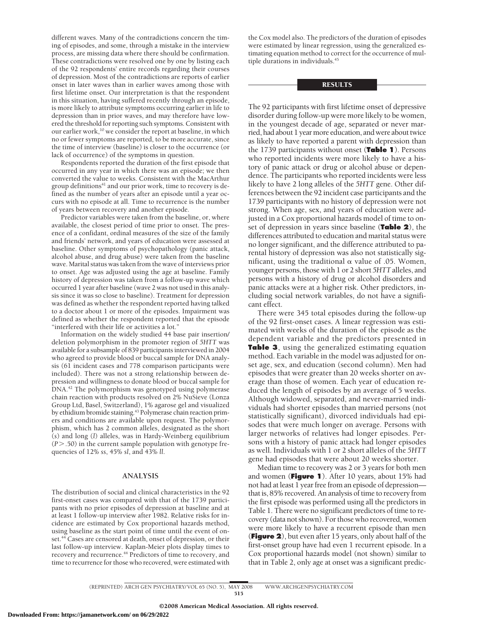different waves. Many of the contradictions concern the timing of episodes, and some, through a mistake in the interview process, are missing data where there should be confirmation. These contradictions were resolved one by one by listing each of the 92 respondents' entire records regarding their courses of depression. Most of the contradictions are reports of earlier onset in later waves than in earlier waves among those with first lifetime onset. Our interpretation is that the respondent in this situation, having suffered recently through an episode, is more likely to attribute symptoms occurring earlier in life to depression than in prior waves, and may therefore have lowered the threshold for reporting such symptoms. Consistent with our earlier work,<sup>10</sup> we consider the report at baseline, in which no or fewer symptoms are reported, to be more accurate, since the time of interview (baseline) is closer to the occurrence (or lack of occurrence) of the symptoms in question.

Respondents reported the duration of the first episode that occurred in any year in which there was an episode; we then converted the value to weeks. Consistent with the MacArthur group definitions<sup>41</sup> and our prior work, time to recovery is defined as the number of years after an episode until a year occurs with no episode at all. Time to recurrence is the number of years between recovery and another episode.

Predictor variables were taken from the baseline, or, where available, the closest period of time prior to onset. The presence of a confidant, ordinal measures of the size of the family and friends' network, and years of education were assessed at baseline. Other symptoms of psychopathology (panic attack, alcohol abuse, and drug abuse) were taken from the baseline wave. Marital status was taken from the wave of interviews prior to onset. Age was adjusted using the age at baseline. Family history of depression was taken from a follow-up wave which occurred 1 year after baseline (wave 2 was not used in this analysis since it was so close to baseline). Treatment for depression was defined as whether the respondent reported having talked to a doctor about 1 or more of the episodes. Impairment was defined as whether the respondent reported that the episode "interfered with their life or activities a lot."

Information on the widely studied 44 base pair insertion/ deletion polymorphism in the promoter region of *5HTT* was available for a subsample of 839 participants interviewed in 2004 who agreed to provide blood or buccal sample for DNA analysis (61 incident cases and 778 comparison participants were included). There was not a strong relationship between depression and willingness to donate blood or buccal sample for DNA.<sup>42</sup> The polymorphism was genotyped using polymerase chain reaction with products resolved on 2% NuSieve (Lonza Group Ltd, Basel, Switzerland), 1% agarose gel and visualized by ethidium bromide staining.<sup>43</sup> Polymerase chain reaction primers and conditions are available upon request. The polymorphism, which has 2 common alleles, designated as the short (*s*) and long (*l*) alleles, was in Hardy-Weinberg equilibrium  $(P > .50)$  in the current sample population with genotype frequencies of 12% *ss*, 45% *sl*, and 43% *ll*.

## **ANALYSIS**

The distribution of social and clinical characteristics in the 92 first-onset cases was compared with that of the 1739 participants with no prior episodes of depression at baseline and at at least 1 follow-up interview after 1982. Relative risks for incidence are estimated by Cox proportional hazards method, using baseline as the start point of time until the event of onset.<sup>44</sup> Cases are censored at death, onset of depression, or their last follow-up interview. Kaplan-Meier plots display times to recovery and recurrence.<sup>44</sup> Predictors of time to recovery, and time to recurrence for those who recovered, were estimated with the Cox model also. The predictors of the duration of episodes were estimated by linear regression, using the generalized estimating equation method to correct for the occurrence of multiple durations in individuals.<sup>45</sup>

## RESULTS

The 92 participants with first lifetime onset of depressive disorder during follow-up were more likely to be women, in the youngest decade of age, separated or never married, had about 1 yearmore education, and were about twice as likely to have reported a parent with depression than the 1739 participants without onset (**Table 1**). Persons who reported incidents were more likely to have a history of panic attack or drug or alcohol abuse or dependence. The participants who reported incidents were less likely to have 2 long alleles of the *5HTT* gene. Other differences between the 92 incident case participants and the 1739 participants with no history of depression were not strong. When age, sex, and years of education were adjusted in a Cox proportional hazards model of time to onset of depression in years since baseline (**Table 2**), the differences attributed to education and marital status were no longer significant, and the difference attributed to parental history of depression was also not statistically significant, using the traditional  $\alpha$  value of .05. Women, younger persons, those with 1 or 2 short *5HTT* alleles, and persons with a history of drug or alcohol disorders and panic attacks were at a higher risk. Other predictors, including social network variables, do not have a significant effect.

There were 345 total episodes during the follow-up of the 92 first-onset cases. A linear regression was estimated with weeks of the duration of the episode as the dependent variable and the predictors presented in **Table 3**, using the generalized estimating equation method. Each variable in the model was adjusted for onset age, sex, and education (second column). Men had episodes that were greater than 20 weeks shorter on average than those of women. Each year of education reduced the length of episodes by an average of 5 weeks. Although widowed, separated, and never-married individuals had shorter episodes than married persons (not statistically significant), divorced individuals had episodes that were much longer on average. Persons with larger networks of relatives had longer episodes. Persons with a history of panic attack had longer episodes as well. Individuals with 1 or 2 short alleles of the *5HTT* gene had episodes that were about 20 weeks shorter.

Median time to recovery was 2 or 3 years for both men and women (**Figure 1**). After 10 years, about 15% had not had at least 1 year free from an episode of depression that is, 85% recovered. An analysis of time to recovery from the first episode was performed using all the predictors in Table 1. There were no significant predictors of time to recovery (data not shown). For those who recovered, women were more likely to have a recurrent episode than men (**Figure 2**), but even after 15 years, only about half of the first-onset group have had even 1 recurrent episode. In a Cox proportional hazards model (not shown) similar to that in Table 2, only age at onset was a significant predic-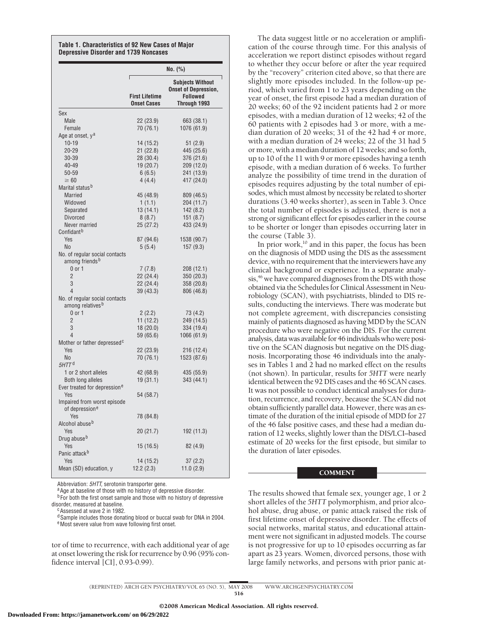#### **Table 1. Characteristics of 92 New Cases of Major Depressive Disorder and 1739 Noncases**

|                                                                | No. (%)                                     |                                                                                           |  |
|----------------------------------------------------------------|---------------------------------------------|-------------------------------------------------------------------------------------------|--|
|                                                                | <b>First Lifetime</b><br><b>Onset Cases</b> | <b>Subjects Without</b><br><b>Onset of Depression,</b><br><b>Followed</b><br>Through 1993 |  |
| Sex                                                            |                                             |                                                                                           |  |
| Male                                                           | 22 (23.9)                                   | 663 (38.1)                                                                                |  |
| Female                                                         | 70 (76.1)                                   | 1076 (61.9)                                                                               |  |
| Age at onset, y <sup>a</sup>                                   |                                             |                                                                                           |  |
| $10 - 19$                                                      | 14 (15.2)                                   | 51 (2.9)                                                                                  |  |
| $20 - 29$                                                      | 21(22.8)                                    | 445 (25.6)                                                                                |  |
| 30-39                                                          | 28 (30.4)                                   | 376 (21.6)                                                                                |  |
| 40-49                                                          | 19 (20.7)                                   | 209 (12.0)                                                                                |  |
| 50-59<br>$\geq 60$                                             | 6(6.5)                                      | 241 (13.9)                                                                                |  |
| Marital status <sup>b</sup>                                    | 4(4.4)                                      | 417 (24.0)                                                                                |  |
| <b>Married</b>                                                 |                                             |                                                                                           |  |
| Widowed                                                        | 45 (48.9)<br>1(1.1)                         | 809 (46.5)<br>204 (11.7)                                                                  |  |
| Separated                                                      | 13 (14.1)                                   | 142 (8.2)                                                                                 |  |
| <b>Divorced</b>                                                | 8(8.7)                                      | 151(8.7)                                                                                  |  |
| Never married                                                  | 25(27.2)                                    | 433 (24.9)                                                                                |  |
| Confidant <sup>b</sup>                                         |                                             |                                                                                           |  |
| <b>Yes</b>                                                     | 87 (94.6)                                   | 1538 (90.7)                                                                               |  |
| N <sub>0</sub>                                                 | 5(5.4)                                      | 157(9.3)                                                                                  |  |
| No. of regular social contacts                                 |                                             |                                                                                           |  |
| among friends <sup>b</sup>                                     |                                             |                                                                                           |  |
| $0$ or $1$                                                     | 7(7.8)                                      | 208 (12.1)                                                                                |  |
| $\overline{2}$                                                 | 22 (24.4)                                   | 350 (20.3)                                                                                |  |
| 3                                                              | 22 (24.4)                                   | 358 (20.8)                                                                                |  |
| 4                                                              | 39 (43.3)                                   | 806 (46.8)                                                                                |  |
| No. of regular social contacts<br>among relatives <sup>b</sup> |                                             |                                                                                           |  |
| $0$ or $1$                                                     | 2(2.2)                                      | 73 (4.2)                                                                                  |  |
| $\overline{2}$                                                 | 11 (12.2)                                   | 249 (14.5)                                                                                |  |
| 3                                                              | 18(20.0)                                    | 334 (19.4)                                                                                |  |
| 4                                                              | 59 (65.6)                                   | 1066 (61.9)                                                                               |  |
| Mother or father depressed <sup>c</sup>                        |                                             |                                                                                           |  |
| Yes                                                            | 22 (23.9)                                   | 216 (12.4)                                                                                |  |
| No<br>5HTT <sup>d</sup>                                        | 70 (76.1)                                   | 1523 (87.6)                                                                               |  |
| 1 or 2 short alleles                                           |                                             |                                                                                           |  |
| Both long alleles                                              | 42 (68.9)<br>19(31.1)                       | 435 (55.9)<br>343 (44.1)                                                                  |  |
| Ever treated for depression <sup>e</sup>                       |                                             |                                                                                           |  |
| Yes                                                            | 54 (58.7)                                   |                                                                                           |  |
| Impaired from worst episode                                    |                                             |                                                                                           |  |
| of depression <sup>e</sup>                                     |                                             |                                                                                           |  |
| Yes                                                            | 78 (84.8)                                   |                                                                                           |  |
| Alcohol abuse <sup>b</sup>                                     |                                             |                                                                                           |  |
| Yes                                                            | 20 (21.7)                                   | 192 (11.3)                                                                                |  |
| Drug abuse <sup>b</sup>                                        |                                             |                                                                                           |  |
| Yes                                                            | 15 (16.5)                                   | 82 (4.9)                                                                                  |  |
| Panic attack <sup>b</sup>                                      |                                             |                                                                                           |  |
| Yes                                                            | 14 (15.2)                                   | 37(2.2)                                                                                   |  |
| Mean (SD) education, y                                         | 12.2(2.3)                                   | 11.0(2.9)                                                                                 |  |

Abbreviation: *5HTT,* serotonin transporter gene.<br><sup>a</sup>Age at baseline of those with no history of depressive disorder.

 $b$  For both the first onset sample and those with no history of depressive disorder, measured at baseline.

<sup>c</sup>Assessed at wave 2 in 1982.

d Sample includes those donating blood or buccal swab for DNA in 2004. eMost severe value from wave following first onset.

tor of time to recurrence, with each additional year of age at onset lowering the risk for recurrence by 0.96 (95% confidence interval [CI], 0.93-0.99).

The data suggest little or no acceleration or amplification of the course through time. For this analysis of acceleration we report distinct episodes without regard to whether they occur before or after the year required by the "recovery" criterion cited above, so that there are slightly more episodes included. In the follow-up period, which varied from 1 to 23 years depending on the year of onset, the first episode had a median duration of 20 weeks; 60 of the 92 incident patients had 2 or more episodes, with a median duration of 12 weeks; 42 of the 60 patients with 2 episodes had 3 or more, with a median duration of 20 weeks; 31 of the 42 had 4 or more, with a median duration of 24 weeks; 22 of the 31 had 5 or more, with a median duration of 12 weeks; and so forth, up to 10 of the 11 with 9 or more episodes having a tenth episode, with a median duration of 6 weeks. To further analyze the possibility of time trend in the duration of episodes requires adjusting by the total number of episodes, which must almost by necessity be related to shorter durations (3.40 weeks shorter), as seen in Table 3. Once the total number of episodes is adjusted, there is not a strong or significant effect for episodes earlier in the course to be shorter or longer than episodes occurring later in the course (Table 3).

In prior work, $10$  and in this paper, the focus has been on the diagnosis of MDD using the DIS as the assessment device, with no requirement that the interviewers have any clinical background or experience. In a separate analysis,<sup>46</sup> we have compared diagnoses from the DIS with those obtained via the Schedules for Clinical Assessment in Neurobiology (SCAN), with psychiatrists, blinded to DIS results, conducting the interviews. There was moderate but not complete agreement, with discrepancies consisting mainly of patients diagnosed as having MDD by the SCAN procedure who were negative on the DIS. For the current analysis, data was available for 46 individuals who were positive on the SCAN diagnosis but negative on the DIS diagnosis. Incorporating those 46 individuals into the analyses in Tables 1 and 2 had no marked effect on the results (not shown). In particular, results for *5HTT* were nearly identical between the 92 DIS cases and the 46 SCAN cases. It was not possible to conduct identical analyses for duration, recurrence, and recovery, because the SCAN did not obtain sufficiently parallel data. However, there was an estimate of the duration of the initial episode of MDD for 27 of the 46 false positive cases, and these had a median duration of 12 weeks, slightly lower than the DIS/LCI–based estimate of 20 weeks for the first episode, but similar to the duration of later episodes.

## **COMMENT**

The results showed that female sex, younger age, 1 or 2 short alleles of the *5HTT* polymorphism, and prior alcohol abuse, drug abuse, or panic attack raised the risk of first lifetime onset of depressive disorder. The effects of social networks, marital status, and educational attainment were not significant in adjusted models. The course is not progressive for up to 10 episodes occurring as far apart as 23 years. Women, divorced persons, those with large family networks, and persons with prior panic at-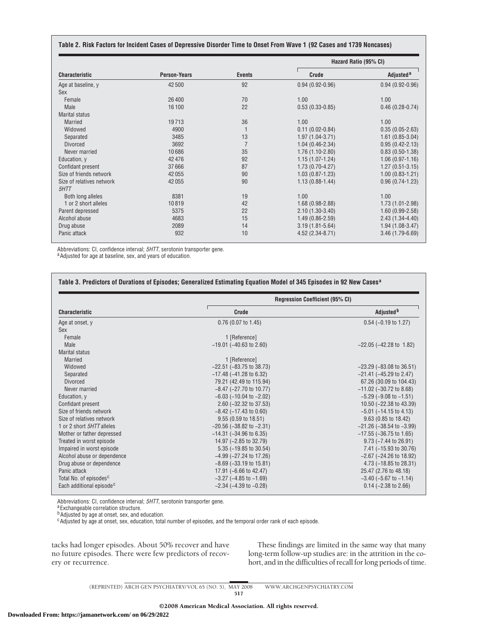| Table 2. Risk Factors for Incident Cases of Depressive Disorder Time to Onset From Wave 1 (92 Cases and 1739 Noncases) |  |
|------------------------------------------------------------------------------------------------------------------------|--|
|------------------------------------------------------------------------------------------------------------------------|--|

| <b>Characteristic</b>     | <b>Person-Years</b> | <b>Events</b>  | Hazard Ratio (95% CI) |                       |
|---------------------------|---------------------|----------------|-----------------------|-----------------------|
|                           |                     |                | Crude                 | Adjusted <sup>a</sup> |
| Age at baseline, y        | 42500               | 92             | $0.94(0.92 - 0.96)$   | $0.94(0.92-0.96)$     |
| Sex                       |                     |                |                       |                       |
| Female                    | 26400               | 70             | 1.00                  | 1.00                  |
| Male                      | 16100               | 22             | $0.53(0.33-0.85)$     | $0.46(0.28-0.74)$     |
| Marital status            |                     |                |                       |                       |
| <b>Married</b>            | 19713               | 36             | 1.00                  | 1.00                  |
| Widowed                   | 4900                |                | $0.11(0.02 - 0.84)$   | $0.35(0.05-2.63)$     |
| Separated                 | 3485                | 13             | $1.97(1.04 - 3.71)$   | $1.61(0.85-3.04)$     |
| <b>Divorced</b>           | 3692                | $\overline{7}$ | $1.04(0.46-2.34)$     | $0.95(0.42 - 2.13)$   |
| Never married             | 10686               | 35             | $1.76(1.10-2.80)$     | $0.83(0.50-1.38)$     |
| Education, y              | 42476               | 92             | $1.15(1.07-1.24)$     | $1.06(0.97 - 1.16)$   |
| Confidant present         | 37666               | 87             | $1.73(0.70-4.27)$     | $1.27(0.51-3.15)$     |
| Size of friends network   | 42055               | 90             | $1.03(0.87 - 1.23)$   | $1.00(0.83 - 1.21)$   |
| Size of relatives network | 42055               | 90             | $1.13(0.88-1.44)$     | $0.96(0.74-1.23)$     |
| 5HTT                      |                     |                |                       |                       |
| Both long alleles         | 8381                | 19             | 1.00                  | 1.00                  |
| 1 or 2 short alleles      | 10819               | 42             | $1.68(0.98-2.88)$     | $1.73(1.01 - 2.98)$   |
| Parent depressed          | 5375                | 22             | $2.10(1.30-3.40)$     | $1.60(0.99-2.58)$     |
| Alcohol abuse             | 4683                | 15             | $1.49(0.86 - 2.59)$   | $2.43(1.34-4.40)$     |
| Drug abuse                | 2089                | 14             | $3.19(1.81 - 5.64)$   | $1.94(1.08-3.47)$     |
| Panic attack              | 932                 | 10             | $4.52(2.34 - 8.71)$   | $3.46(1.79-6.69)$     |

Abbreviations: CI, confidence interval; *5HTT*, serotonin transporter gene. a Adjusted for age at baseline, sex, and years of education.

| <b>Characteristic</b>                | <b>Regression Coefficient (95% CI)</b> |                                  |  |  |
|--------------------------------------|----------------------------------------|----------------------------------|--|--|
|                                      | Crude                                  | Adjusted <sup>b</sup>            |  |  |
| Age at onset, y                      | 0.76 (0.07 to 1.45)                    | $0.54$ (-0.19 to 1.27)           |  |  |
| Sex                                  |                                        |                                  |  |  |
| Female                               | 1 [Reference]                          |                                  |  |  |
| Male                                 | $-19.01$ ( $-40.63$ to 2.60)           | $-22.05$ ( $-42.28$ to 1.82)     |  |  |
| <b>Marital status</b>                |                                        |                                  |  |  |
| <b>Married</b>                       | 1 [Reference]                          |                                  |  |  |
| Widowed                              | $-22.51$ ( $-83.75$ to 38.73)          | $-23.29$ ( $-83.08$ to 36.51)    |  |  |
| Separated                            | $-17.48$ ( $-41.28$ to 6.32)           | $-21.41$ ( $-45.29$ to 2.47)     |  |  |
| <b>Divorced</b>                      | 79.21 (42.49 to 115.94)                | 67.26 (30.09 to 104.43)          |  |  |
| Never married                        | $-8.47$ ( $-27.70$ to 10.77)           | $-11.02$ ( $-30.72$ to 8.68)     |  |  |
| Education, y                         | $-6.03$ ( $-10.04$ to $-2.02$ )        | $-5.29$ ( $-9.08$ to $-1.51$ )   |  |  |
| Confidant present                    | 2.60 (-32.32 to 37.53)                 | 10.50 (-22.38 to 43.39)          |  |  |
| Size of friends network              | $-8.42$ ( $-17.43$ to 0.60)            | $-5.01$ ( $-14.15$ to 4.13)      |  |  |
| Size of relatives network            | 9.55 (0.59 to 18.51)                   | 9.63 (0.85 to 18.42)             |  |  |
| 1 or 2 short 5HTT alleles            | $-20.56$ ( $-38.82$ to $-2.31$ )       | $-21.26$ ( $-38.54$ to $-3.99$ ) |  |  |
| Mother or father depressed           | $-14.31$ ( $-34.96$ to 6.35)           | $-17.55$ ( $-36.75$ to 1.65)     |  |  |
| Treated in worst episode             | 14.97 (-2.85 to 32.79)                 | $9.73$ ( $-7.44$ to 26.91)       |  |  |
| Impaired in worst episode            | 5.35 (-19.85 to 30.54)                 | 7.41 (-15.93 to 30.76)           |  |  |
| Alcohol abuse or dependence          | $-4.99$ ( $-27.24$ to 17.26)           | $-2.67$ ( $-24.26$ to 18.92)     |  |  |
| Drug abuse or dependence             | $-8.69$ ( $-33.19$ to $15.81$ )        | 4.73 (-18.85 to 28.31)           |  |  |
| Panic attack                         | 17.91 (-6.66 to 42.47)                 | 25.47 (2.76 to 48.18)            |  |  |
| Total No. of episodes <sup>c</sup>   | $-3.27$ ( $-4.85$ to $-1.69$ )         | $-3.40$ ( $-5.67$ to $-1.14$ )   |  |  |
| Each additional episode <sup>c</sup> | $-2.34$ ( $-4.39$ to $-0.28$ )         | $0.14$ ( $-2.38$ to $2.66$ )     |  |  |

Abbreviations: CI, confidence interval; *5HTT*, serotonin transporter gene.<br><sup>a</sup>Exchangeable correlation structure.

**b**Adjusted by age at onset, sex, and education.

<sup>c</sup>Adjusted by age at onset, sex, education, total number of episodes, and the temporal order rank of each episode.

tacks had longer episodes. About 50% recover and have no future episodes. There were few predictors of recovery or recurrence.

These findings are limited in the same way that many long-term follow-up studies are: in the attrition in the cohort, and in the difficulties of recall for long periods of time.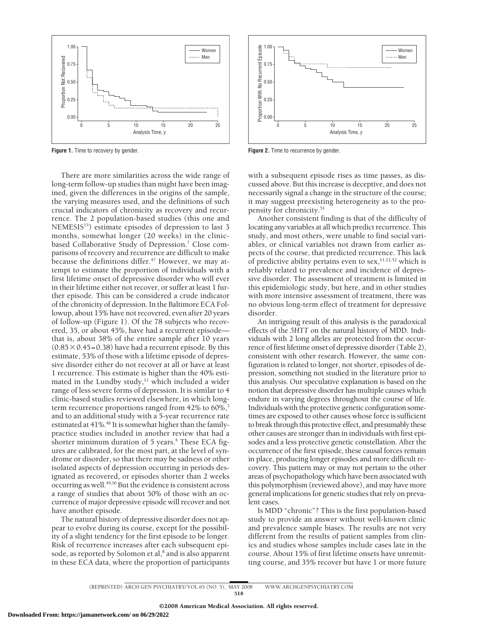

**Figure 1.** Time to recovery by gender.

There are more similarities across the wide range of long-term follow-up studies than might have been imagined, given the differences in the origins of the sample, the varying measures used, and the definitions of such crucial indicators of chronicity as recovery and recurrence. The 2 population-based studies (this one and NEMESIS<sup>15</sup>) estimate episodes of depression to last 3 months, somewhat longer (20 weeks) in the clinicbased Collaborative Study of Depression.<sup>7</sup> Close comparisons of recovery and recurrence are difficult to make because the definitions differ. $47$  However, we may attempt to estimate the proportion of individuals with a first lifetime onset of depressive disorder who will ever in their lifetime either not recover, or suffer at least 1 further episode. This can be considered a crude indicator of the chronicity of depression. In the Baltimore ECA Followup, about 15% have not recovered, even after 20 years of follow-up (Figure 1). Of the 78 subjects who recovered, 35, or about 45%, have had a recurrent episode that is, about 38% of the entire sample after 10 years  $(0.85\times0.45=0.38)$  have had a recurrent episode. By this estimate, 53% of those with a lifetime episode of depressive disorder either do not recover at all or have at least 1 recurrence. This estimate is higher than the 40% estimated in the Lundby study, $11$  which included a wider range of less severe forms of depression. It is similar to 4 clinic-based studies reviewed elsewhere, in which longterm recurrence proportions ranged from 42% to 60%,<sup>3</sup> and to an additional study with a 5-year recurrence rate estimated at 41%.<sup>48</sup> It is somewhat higher than the familypractice studies included in another review that had a shorter minimum duration of 5 years.<sup>4</sup> These ECA figures are calibrated, for the most part, at the level of syndrome or disorder, so that there may be sadness or other isolated aspects of depression occurring in periods designated as recovered, or episodes shorter than 2 weeks occurring as well.<sup>49,50</sup> But the evidence is consistent across a range of studies that about 50% of those with an occurrence of major depressive episode will recover and not have another episode.

The natural history of depressive disorder does not appear to evolve during its course, except for the possibility of a slight tendency for the first episode to be longer. Risk of recurrence increases after each subsequent episode, as reported by Solomon et al,<sup>8</sup> and is also apparent in these ECA data, where the proportion of participants



**Figure 2.** Time to recurrence by gender.

with a subsequent episode rises as time passes, as discussed above. But this increase is deceptive, and does not necessarily signal a change in the structure of the course; it may suggest preexisting heterogeneity as to the propensity for chronicity.<sup>51</sup>

Another consistent finding is that of the difficulty of locating any variables at all which predict recurrence. This study, and most others, were unable to find social variables, or clinical variables not drawn from earlier aspects of the course, that predicted recurrence. This lack of predictive ability pertains even to sex,  $11,12,52$  which is reliably related to prevalence and incidence of depressive disorder. The assessment of treatment is limited in this epidemiologic study, but here, and in other studies with more intensive assessment of treatment, there was no obvious long-term effect of treatment for depressive disorder.

An intriguing result of this analysis is the paradoxical effects of the *5HTT* on the natural history of MDD. Individuals with 2 long alleles are protected from the occurrence of first lifetime onset of depressive disorder (Table 2), consistent with other research. However, the same configuration is related to longer, not shorter, episodes of depression, something not studied in the literature prior to this analysis. Our speculative explanation is based on the notion that depressive disorder has multiple causes which endure in varying degrees throughout the course of life. Individuals with the protective genetic configuration sometimes are exposed to other causes whose force is sufficient to break through this protective effect, and presumably these other causes are stronger than in individuals with first episodes and a less protective genetic constellation. After the occurrence of the first episode, these causal forces remain in place, producing longer episodes and more difficult recovery. This pattern may or may not pertain to the other areas of psychopathology which have been associated with this polymorphism (reviewed above), and may have more general implications for genetic studies that rely on prevalent cases.

Is MDD "chronic"? This is the first population-based study to provide an answer without well-known clinic and prevalence sample biases. The results are not very different from the results of patient samples from clinics and studies whose samples include cases late in the course. About 15% of first lifetime onsets have unremitting course, and 35% recover but have 1 or more future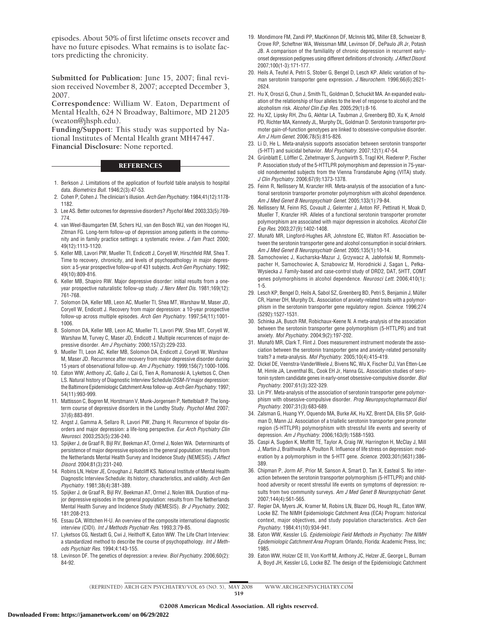episodes. About 50% of first lifetime onsets recover and have no future episodes. What remains is to isolate factors predicting the chronicity.

**Submitted for Publication:** June 15, 2007; final revision received November 8, 2007; accepted December 3, 2007.

**Correspondence:** William W. Eaton, Department of Mental Health, 624 N Broadway, Baltimore, MD 21205 (weaton@jhsph.edu).

**Funding/Support:** This study was supported by National Institutes of Mental Health grant MH47447. **Financial Disclosure:** None reported.

#### **REFERENCES**

- 1. Berkson J. Limitations of the application of fourfold table analysis to hospital data. *Biometrics Bull*. 1946;2(3):47-53.
- 2. Cohen P, Cohen J. The clinician's illusion. *Arch Gen Psychiatry*. 1984;41(12):1178- 1182.
- 3. Lee AS. Better outcomes for depressive disorders? *Psychol Med*. 2003;33(5):769- 774.
- 4. van Weel-Baumgarten EM, Schers HJ, van den Bosch WJ, van den Hoogen HJ, Zitman FG. Long-term follow-up of depression among patients in the community and in family practice settings: a systematic review. *J Fam Pract*. 2000; 49(12):1113-1120.
- 5. Keller MB, Lavori PW, Mueller TI, Endicott J, Coryell W, Hirschfeld RM, Shea T. Time to recovery, chronicity, and levels of psychopathology in major depression: a 5-year prospective follow-up of 431 subjects. *Arch Gen Psychiatry*. 1992; 49(10):809-816.
- 6. Keller MB, Shapiro RW. Major depressive disorder: initial results from a oneyear prospective naturalistic follow-up study. *J Nerv Ment Dis*. 1981;169(12): 761-768.
- 7. Solomon DA, Keller MB, Leon AC, Mueller TI, Shea MT, Warshaw M, Maser JD, Coryell W, Endicott J. Recovery from major depression: a 10-year prospective follow-up across multiple episodes. *Arch Gen Psychiatry*. 1997;54(11):1001- 1006.
- 8. Solomon DA, Keller MB, Leon AC, Mueller TI, Lavori PW, Shea MT, Coryell W, Warshaw M, Turvey C, Maser JD, Endicott J. Multiple recurrences of major depressive disorder. *Am J Psychiatry*. 2000;157(2):229-233.
- 9. Mueller TI, Leon AC, Keller MB, Solomon DA, Endicott J, Coryell W, Warshaw M, Maser JD. Recurrence after recovery from major depressive disorder during 15 years of observational follow-up. *Am J Psychiatry*. 1999;156(7):1000-1006.
- 10. Eaton WW, Anthony JC, Gallo J, Cai G, Tien A, Romanoski A, Lyketsos C, Chen LS. Natural history of Diagnostic Interview Schedule/*DSM-IV* major depression: the Baltimore Epidemiologic Catchment Area follow-up. *Arch Gen Psychiatry*. 1997; 54(11):993-999.
- 11. Mattisson C, Bogren M, Horstmann V, Munk-Jorgensen P, Nettelbladt P. The longterm course of depressive disorders in the Lundby Study. *Psychol Med*. 2007; 37(6):883-891.
- 12. Angst J, Gamma A, Sellaro R, Lavori PW, Zhang H. Recurrence of bipolar disorders and major depression: a life-long perspective. *Eur Arch Psychiatry Clin Neurosci*. 2003;253(5):236-240.
- 13. Spijker J, de Graaf R, Bijl RV, Beekman AT, Ormel J, Nolen WA. Determinants of persistence of major depressive episodes in the general population: results from the Netherlands Mental Health Survey and Incidence Study (NEMESIS). *J Affect Disord*. 2004;81(3):231-240.
- 14. Robins LN, Helzer JE, Croughan J, Ratcliff KS. National Institute of Mental Health Diagnostic Interview Schedule: its history, characteristics, and validity. *Arch Gen Psychiatry*. 1981;38(4):381-389.
- 15. Spijker J, de Graaf R, Bijl RV, Beekman AT, Ormel J, Nolen WA. Duration of major depressive episodes in the general population: results from The Netherlands Mental Health Survey and Incidence Study (NEMESIS). *Br J Psychiatry*. 2002; 181:208-213.
- 16. Essau CA, Wittchen H-U. An overview of the composite international diagnostic interview (CIDI). *Int J Methods Psychiatr Res*. 1993;3:79-85.
- 17. Lyketsos CG, Nestadt G, Cwi J, Heithoff K, Eaton WW. The Life Chart Interview: a standardized method to describe the course of psychopathology. *Int J Methods Psychiatr Res*. 1994;4:143-155.
- 18. Levinson DF. The genetics of depression: a review. *Biol Psychiatry*. 2006;60(2): 84-92.
- 19. Mondimore FM, Zandi PP, MacKinnon DF, McInnis MG, Miller EB, Schweizer B, Crowe RP, Scheftner WA, Weissman MM, Levinson DF, DePaulo JR Jr, Potash JB. A comparison of the familiality of chronic depression in recurrent earlyonset depression pedigrees using different definitions of chronicity. *J Affect Disord*. 2007;100(1-3):171-177.
- 20. Heils A, Teufel A, Petri S, Stober G, Bengel D, Lesch KP. Allelic variation of human serotonin transporter gene expression. *J Neurochem*. 1996;66(6):2621- 2624.
- 21. Hu X, Oroszi G, Chun J, Smith TL, Goldman D, Schuckit MA. An expanded evaluation of the relationship of four alleles to the level of response to alcohol and the alcoholism risk. *Alcohol Clin Exp Res*. 2005;29(1):8-16.
- 22. Hu XZ, Lipsky RH, Zhu G, Akhtar LA, Taubman J, Greenberg BD, Xu K, Arnold PD, Richter MA, Kennedy JL, Murphy DL, Goldman D. Serotonin transporter promoter gain-of-function genotypes are linked to obsessive-compulsive disorder. *Am J Hum Genet*. 2006;78(5):815-826.
- 23. Li D, He L. Meta-analysis supports association between serotonin transporter (5-HTT) and suicidal behavior. *Mol Psychiatry*. 2007;12(1):47-54.
- 24. Grünblatt E, Löffler C, Zehetmayer S, Jungwirth S, Tragl KH, Riederer P, Fischer P. Association study of the 5-HTTLPR polymorphism and depression in 75-yearold nondemented subjects from the Vienna Transdanube Aging (VITA) study. *J Clin Psychiatry*. 2006;67(9):1373-1378.
- 25. Feinn R, Nellissery M, Kranzler HR. Meta-analysis of the association of a functional serotonin transporter promoter polymorphism with alcohol dependence. *Am J Med Genet B Neuropsychiatr Genet*. 2005;133(1):79-84.
- 26. Nellissery M, Feinn RS, Covault J, Gelernter J, Anton RF, Pettinati H, Moak D, Mueller T, Kranzler HR. Alleles of a functional serotonin transporter promoter polymorphism are associated with major depression in alcoholics. *Alcohol Clin Exp Res*. 2003;27(9):1402-1408.
- 27. Munafò MR, Lingford-Hughes AR, Johnstone EC, Walton RT. Association between the serotonin transporter gene and alcohol consumption in social drinkers. *Am J Med Genet B Neuropsychiatr Genet*. 2005;135(1):10-14.
- 28. Samochowiec J, Kucharska-Mazur J, Grzywacz A, Jabłoński M, Rommelspacher H, Samochowiec A, Sznabowicz M, Horodnicki J, Sagan L, Pełka-Wysiecka J. Family-based and case-control study of DRD2, DAT, 5HTT, COMT genes polymorphisms in alcohol dependence. *Neurosci Lett*. 2006;410(1): 1-5.
- 29. Lesch KP, Bengel D, Heils A, Sabol SZ, Greenberg BD, Petri S, Benjamin J, Müller CR, Hamer DH, Murphy DL. Association of anxiety-related traits with a polymorphism in the serotonin transporter gene regulatory region. *Science*. 1996;274 (5292):1527-1531.
- 30. Schinka JA, Busch RM, Robichaux-Keene N. A meta-analysis of the association between the serotonin transporter gene polymorphism (5-HTTLPR) and trait anxiety. *Mol Psychiatry*. 2004;9(2):197-202.
- 31. Munafò MR, Clark T, Flint J. Does measurement instrument moderate the association between the serotonin transporter gene and anxiety-related personality traits? a meta-analysis. *Mol Psychiatry*. 2005;10(4):415-419.
- 32. Dickel DE, Veenstra-VanderWeele J, Bivens NC, Wu X, Fischer DJ, Van Etten-Lee M, Himle JA, Leventhal BL, Cook EH Jr, Hanna GL. Association studies of serotonin system candidate genes in early-onset obsessive-compulsive disorder. *Biol Psychiatry*. 2007;61(3):322-329.
- 33. Lin PY. Meta-analysis of the association of serotonin transporter gene polymorphism with obsessive-compulsive disorder. *Prog Neuropsychopharmacol Biol Psychiatry*. 2007;31(3):683-689.
- 34. Zalsman G, Huang YY, Oquendo MA, Burke AK, Hu XZ, Brent DA, Ellis SP, Goldman D, Mann JJ. Association of a triallelic serotonin transporter gene promoter region (5-HTTLPR) polymorphism with stressful life events and severity of depression. *Am J Psychiatry*. 2006;163(9):1588-1593.
- 35. Caspi A, Sugden K, Moffitt TE, Taylor A, Craig IW, Harrington H, McClay J, Mill J, Martin J, Braithwaite A, Poulton R. Influence of life stress on depression: moderation by a polymorphism in the 5-HTT gene. *Science*. 2003;301(5631):386- 389.
- 36. Chipman P, Jorm AF, Prior M, Sanson A, Smart D, Tan X, Easteal S. No interaction between the serotonin transporter polymorphism (5-HTTLPR) and childhood adversity or recent stressful life events on symptoms of depression: results from two community surveys. *Am J Med Genet B Neuropsychiatr Genet*. 2007;144(4):561-565.
- 37. Regier DA, Myers JK, Kramer M, Robins LN, Blazer DG, Hough RL, Eaton WW, Locke BZ. The NIMH Epidemiologic Catchment Area (ECA) Program: historical context, major objectives, and study population characteristics. *Arch Gen Psychiatry*. 1984;41(10):934-941.
- 38. Eaton WW, Kessler LG. *Epidemiologic Field Methods in Psychiatry: The NIMH Epidemiologic Catchment Area Program.* Orlando, Florida: Academic Press, Inc; 1985.
- 39. Eaton WW, Holzer CE III, Von Korff M, Anthony JC, Helzer JE, George L, Burnam A, Boyd JH, Kessler LG, Locke BZ. The design of the Epidemiologic Catchment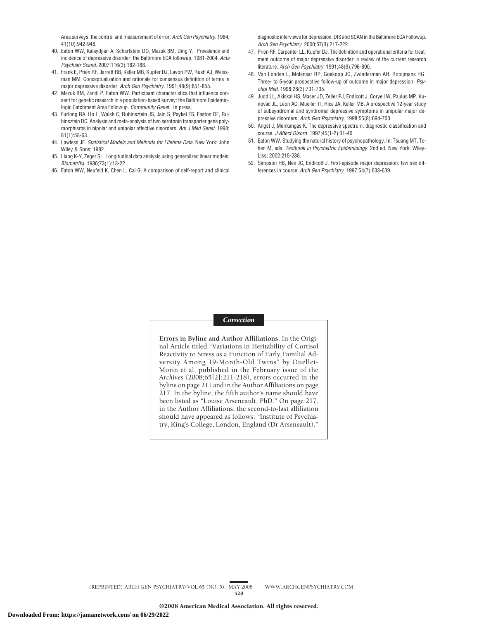Area surveys: the control and measurement of error. *Arch Gen Psychiatry*. 1984; 41(10):942-948.

- 40. Eaton WW, Kalaydjian A, Scharfstein DO, Mezuk BM, Ding Y. Prevalence and incidence of depressive disorder: the Baltimore ECA followup, 1981-2004. *Acta Psychiatr Scand*. 2007;116(3):182-188.
- 41. Frank E, Prien RF, Jarrett RB, Keller MB, Kupfer DJ, Lavori PW, Rush AJ, Weissman MM. Conceptualization and rationale for consensus definition of terms in major depressive disorder. *Arch Gen Psychiatry*. 1991;48(9):851-855.
- 42. Mezuk BM, Zandi P, Eaton WW. Participant characteristics that influence consent for genetic research in a population-based survey: the Baltimore Epidemiologic Catchment Area Followup. *Community Genet*. In press.
- 43. Furlong RA, Ho L, Walsh C, Rubinsztein JS, Jain S, Paykel ES, Easton DF, Rubinsztein DC. Analysis and meta-analysis of two serotonin transporter gene polymorphisms in bipolar and unipolar affective disorders. *Am J Med Genet*. 1998; 81(1):58-63.
- 44. Lawless JF. *Statistical Models and Methods for Lifetime Data.* New York: John Wiley & Sons: 1982.
- 45. Liang K-Y, Zeger SL. Longitudinal data analysis using generalized linear models. *Biometrika*. 1986;73(1):13-22.
- 46. Eaton WW, Neufeld K, Chen L, Cai G. A comparison of self-report and clinical

diagnostic interviews for depression: DIS and SCAN in the Baltimore ECA Followup. *Arch Gen Psychiatry*. 2000;57(3):217-222.

- 47. Prien RF, Carpenter LL, Kupfer DJ. The definition and operational criteria for treatment outcome of major depressive disorder: a review of the current research literature. *Arch Gen Psychiatry*. 1991;48(9):796-800.
- 48. Van Londen L, Molenaar RP, Goekoop JG, Zwinderman AH, Rooijmans HG. Three- to 5-year prospective follow-up of outcome in major depression. *Psychol Med*. 1998;28(3):731-735.
- 49. Judd LL, Akiskal HS, Maser JD, Zeller PJ, Endicott J, Coryell W, Paulus MP, Kunovac JL, Leon AC, Mueller TI, Rice JA, Keller MB. A prospective 12-year study of subsyndromal and syndromal depressive symptoms in unipolar major depressive disorders. *Arch Gen Psychiatry*. 1998;55(8):694-700.
- 50. Angst J, Merikangas K. The depressive spectrum: diagnostic classification and course. *J Affect Disord*. 1997;45(1-2):31-40.
- 51. Eaton WW. Studying the natural history of psychopathology. In: Tsuang MT, Tohen M, eds. *Textbook in Psychiatric Epidemiology.* 2nd ed. New York: Wiley-Liss; 2002:215-238.
- 52. Simpson HB, Nee JC, Endicott J. First-episode major depression: few sex differences in course. *Arch Gen Psychiatry*. 1997;54(7):633-639.

#### *Correction*

**Errors in Byline and Author Affiliations.** In the Original Article titled "Variations in Heritability of Cortisol Reactivity to Stress as a Function of Early Familial Adversity Among 19-Month-Old Twins" by Ouellet-Morin et al, published in the February issue of the *Archives* (2008;65[2]:211-218), errors occurred in the byline on page 211 and in the Author Affiliations on page 217. In the byline, the fifth author's name should have been listed as "Louise Arseneault, PhD." On page 217, in the Author Affiliations, the second-to-last affiliation should have appeared as follows: "Institute of Psychiatry, King's College, London, England (Dr Arseneault)."